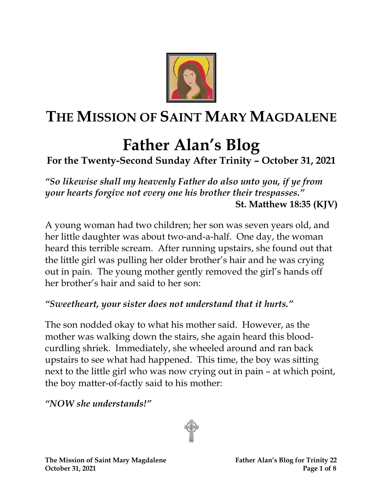

## **THE MISSION OF SAINT MARY MAGDALENE**

# **Father Alan's Blog**

## **For the Twenty-Second Sunday After Trinity – October 31, 2021**

*"So likewise shall my heavenly Father do also unto you, if ye from your hearts forgive not every one his brother their trespasses."* **St. Matthew 18:35 (KJV)**

A young woman had two children; her son was seven years old, and her little daughter was about two-and-a-half. One day, the woman heard this terrible scream. After running upstairs, she found out that the little girl was pulling her older brother's hair and he was crying out in pain. The young mother gently removed the girl's hands off her brother's hair and said to her son:

#### *"Sweetheart, your sister does not understand that it hurts."*

The son nodded okay to what his mother said. However, as the mother was walking down the stairs, she again heard this bloodcurdling shriek. Immediately, she wheeled around and ran back upstairs to see what had happened. This time, the boy was sitting next to the little girl who was now crying out in pain – at which point, the boy matter-of-factly said to his mother:

*"NOW she understands!"*

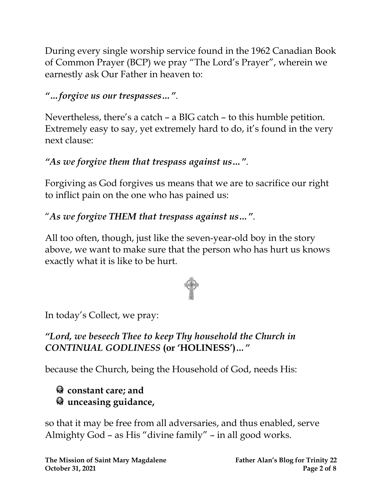During every single worship service found in the 1962 Canadian Book of Common Prayer (BCP) we pray "The Lord's Prayer", wherein we earnestly ask Our Father in heaven to:

*"…forgive us our trespasses…"*.

Nevertheless, there's a catch – a BIG catch – to this humble petition. Extremely easy to say, yet extremely hard to do, it's found in the very next clause:

#### *"As we forgive them that trespass against us…"*.

Forgiving as God forgives us means that we are to sacrifice our right to inflict pain on the one who has pained us:

#### "*As we forgive THEM that trespass against us…"*.

All too often, though, just like the seven-year-old boy in the story above, we want to make sure that the person who has hurt us knows exactly what it is like to be hurt.



In today's Collect, we pray:

#### *"Lord, we beseech Thee to keep Thy household the Church in CONTINUAL GODLINESS* **(or 'HOLINESS')***…"*

because the Church, being the Household of God, needs His:

#### **constant care; and unceasing guidance,**

so that it may be free from all adversaries, and thus enabled, serve Almighty God – as His "divine family" – in all good works.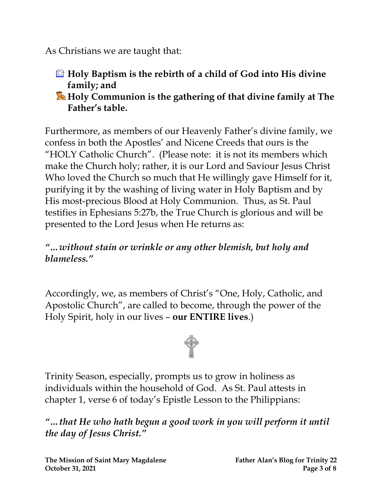As Christians we are taught that:

- **Holy Baptism is the rebirth of a child of God into His divine family; and**
- **Holy Communion is the gathering of that divine family at The Father's table.**

Furthermore, as members of our Heavenly Father's divine family, we confess in both the Apostles' and Nicene Creeds that ours is the "HOLY Catholic Church". (Please note: it is not its members which make the Church holy; rather, it is our Lord and Saviour Jesus Christ Who loved the Church so much that He willingly gave Himself for it, purifying it by the washing of living water in Holy Baptism and by His most-precious Blood at Holy Communion. Thus, as St. Paul testifies in Ephesians 5:27b, the True Church is glorious and will be presented to the Lord Jesus when He returns as:

#### *"…without stain or wrinkle or any other blemish, but holy and blameless."*

Accordingly, we, as members of Christ's "One, Holy, Catholic, and Apostolic Church", are called to become, through the power of the Holy Spirit, holy in our lives – **our ENTIRE lives**.)



Trinity Season, especially, prompts us to grow in holiness as individuals within the household of God. As St. Paul attests in chapter 1, verse 6 of today's Epistle Lesson to the Philippians:

*"…that He who hath begun a good work in you will perform it until the day of Jesus Christ."*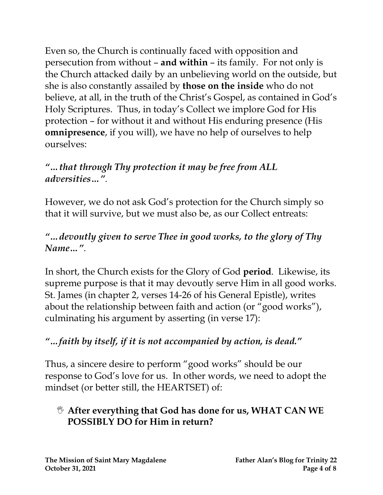Even so, the Church is continually faced with opposition and persecution from without – **and within** – its family. For not only is the Church attacked daily by an unbelieving world on the outside, but she is also constantly assailed by **those on the inside** who do not believe, at all, in the truth of the Christ's Gospel, as contained in God's Holy Scriptures. Thus, in today's Collect we implore God for His protection – for without it and without His enduring presence (His **omnipresence**, if you will), we have no help of ourselves to help ourselves:

#### *"…that through Thy protection it may be free from ALL adversities…"*.

However, we do not ask God's protection for the Church simply so that it will survive, but we must also be, as our Collect entreats:

#### *"…devoutly given to serve Thee in good works, to the glory of Thy Name…"*.

In short, the Church exists for the Glory of God **period**. Likewise, its supreme purpose is that it may devoutly serve Him in all good works. St. James (in chapter 2, verses 14-26 of his General Epistle), writes about the relationship between faith and action (or "good works"), culminating his argument by asserting (in verse 17):

#### *"…faith by itself, if it is not accompanied by action, is dead."*

Thus, a sincere desire to perform "good works" should be our response to God's love for us. In other words, we need to adopt the mindset (or better still, the HEARTSET) of:

#### **After everything that God has done for us, WHAT CAN WE POSSIBLY DO for Him in return?**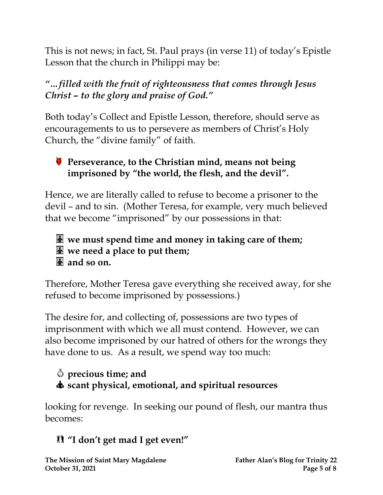This is not news; in fact, St. Paul prays (in verse 11) of today's Epistle Lesson that the church in Philippi may be:

#### *"…filled with the fruit of righteousness that comes through Jesus Christ – to the glory and praise of God."*

Both today's Collect and Epistle Lesson, therefore, should serve as encouragements to us to persevere as members of Christ's Holy Church, the "divine family" of faith.

#### **Perseverance, to the Christian mind, means not being imprisoned by "the world, the flesh, and the devil".**

Hence, we are literally called to refuse to become a prisoner to the devil – and to sin. (Mother Teresa, for example, very much believed that we become "imprisoned" by our possessions in that:

#### **we must spend time and money in taking care of them; we need a place to put them; and so on.**

Therefore, Mother Teresa gave everything she received away, for she refused to become imprisoned by possessions.)

The desire for, and collecting of, possessions are two types of imprisonment with which we all must contend. However, we can also become imprisoned by our hatred of others for the wrongs they have done to us. As a result, we spend way too much:

#### **precious time; and scant physical, emotional, and spiritual resources**

looking for revenge. In seeking our pound of flesh, our mantra thus becomes:

## **"I don't get mad I get even!"**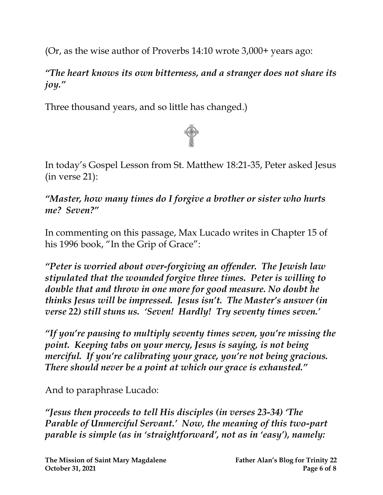(Or, as the wise author of Proverbs 14:10 wrote 3,000+ years ago:

*"The heart knows its own bitterness, and a stranger does not share its joy."*

Three thousand years, and so little has changed.)



In today's Gospel Lesson from St. Matthew 18:21-35, Peter asked Jesus (in verse 21):

*"Master, how many times do I forgive a brother or sister who hurts me? Seven?"*

In commenting on this passage, Max Lucado writes in Chapter 15 of his 1996 book, "In the Grip of Grace":

*"Peter is worried about over-forgiving an offender. The Jewish law stipulated that the wounded forgive three times. Peter is willing to double that and throw in one more for good measure. No doubt he thinks Jesus will be impressed. Jesus isn't. The Master's answer (in verse 22) still stuns us. 'Seven! Hardly! Try seventy times seven.'*

*"If you're pausing to multiply seventy times seven, you're missing the point. Keeping tabs on your mercy, Jesus is saying, is not being merciful. If you're calibrating your grace, you're not being gracious. There should never be a point at which our grace is exhausted."*

And to paraphrase Lucado:

*"Jesus then proceeds to tell His disciples (in verses 23-34) 'The Parable of Unmerciful Servant.' Now, the meaning of this two-part parable is simple (as in 'straightforward', not as in 'easy'), namely:*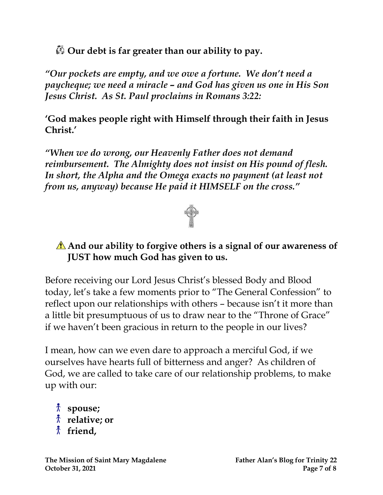**Our debt is far greater than our ability to pay.**

*"Our pockets are empty, and we owe a fortune. We don't need a paycheque; we need a miracle – and God has given us one in His Son Jesus Christ. As St. Paul proclaims in Romans 3:22:*

**'God makes people right with Himself through their faith in Jesus Christ.'** 

*"When we do wrong, our Heavenly Father does not demand reimbursement. The Almighty does not insist on His pound of flesh. In short, the Alpha and the Omega exacts no payment (at least not from us, anyway) because He paid it HIMSELF on the cross."*



#### **And our ability to forgive others is a signal of our awareness of JUST how much God has given to us.**

Before receiving our Lord Jesus Christ's blessed Body and Blood today, let's take a few moments prior to "The General Confession" to reflect upon our relationships with others – because isn't it more than a little bit presumptuous of us to draw near to the "Throne of Grace" if we haven't been gracious in return to the people in our lives?

I mean, how can we even dare to approach a merciful God, if we ourselves have hearts full of bitterness and anger? As children of God, we are called to take care of our relationship problems, to make up with our:

**spouse; relative; or friend,**